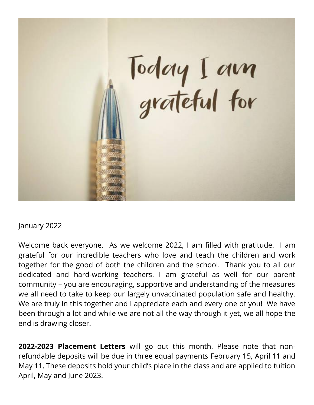

#### January 2022

Welcome back everyone. As we welcome 2022, I am filled with gratitude. I am grateful for our incredible teachers who love and teach the children and work together for the good of both the children and the school. Thank you to all our dedicated and hard-working teachers. I am grateful as well for our parent community – you are encouraging, supportive and understanding of the measures we all need to take to keep our largely unvaccinated population safe and healthy. We are truly in this together and I appreciate each and every one of you! We have been through a lot and while we are not all the way through it yet, we all hope the end is drawing closer.

**2022-2023 Placement Letters** will go out this month. Please note that nonrefundable deposits will be due in three equal payments February 15, April 11 and May 11. These deposits hold your child's place in the class and are applied to tuition April, May and June 2023.